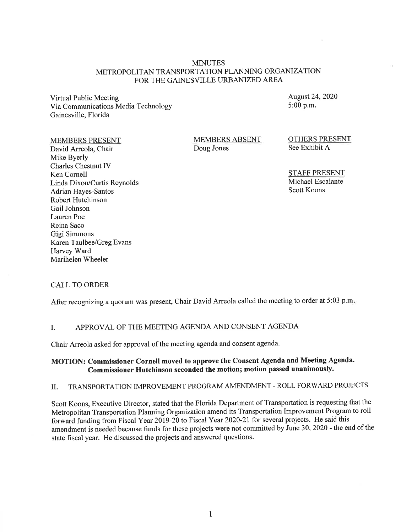#### MINUTES METROPOLITAN TRANSPORTATION PLANNING ORGANIZATION FOR THE GAINESVILLE URBANIZED AREA

Virtual Public Meeting Via Communications Media Technology Gainesville, Florida

August 24, 2020 5:00 p.m.

#### MEMBERS PRESENT

David Arreola, Chair Mike Byerly Charles Chestnut IV Ken Cornell Linda Dixon/Curtis Reynolds Adrian Hayes-Santos Robert Hutchinson Gail Johnson Lauren Poe Reina Saco Gigi Simmons Karen Taulbee/Greg Evans Harvey Ward Marihelen Wheeler

MEMBERS ABSENT Doug Jones

OTHERS PRESENT See Exhibit A

STAFF PRESENT Michael Escalante Scott Koons

#### CALL TO ORDER

After recognizing a quorum was present, Chair David Arreola called the meeting to order at 5:03 p.m.

#### I. APPROVAL OF THE MEETING AGENDA AND CONSENT AGENDA

Chair Arreola asked for approval of the meeting agenda and consent agenda.

#### **MOTION: Commissioner Cornell moved to approve the Consent Agenda and Meeting Agenda. Commissioner Hutchinson seconded the motion; motion passed unanimously.**

## II. TRANSPORTATION IMPROVEMENT PROGRAM AMENDMENT- ROLL FORWARD PROJECTS

Scott Koons, Executive Director, stated that the Florida Department of Transportation is requesting that the Metropolitan Transportation Planning Organization amend its Transportation Improvement Program to roll forward funding from Fiscal Year 2019-20 to Fiscal Year 2020-21 for several projects. He said this amendment is needed because funds for these projects were not committed by June 30, 2020 - the end of the state fiscal year. He discussed the projects and answered questions.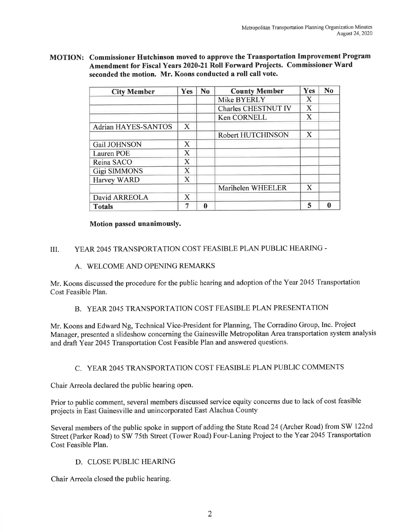MOTION: Commissioner Hutchinson moved to approve the Transportation Improvement Program Amendment for Fiscal Years 2020-21 Roll Forward Projects. Commissioner Ward seconded the motion. Mr. Koons conducted a roll call vote.

| <b>City Member</b>         | Yes                   | N <sub>0</sub> | <b>County Member</b>       | Yes | N <sub>0</sub> |
|----------------------------|-----------------------|----------------|----------------------------|-----|----------------|
|                            |                       |                | Mike BYERLY                | X   |                |
|                            |                       |                | <b>Charles CHESTNUT IV</b> | X   |                |
|                            |                       |                | Ken CORNELL                | X   |                |
| <b>Adrian HAYES-SANTOS</b> | X                     |                |                            |     |                |
|                            |                       |                | Robert HUTCHINSON          | X   |                |
| Gail JOHNSON               | $\mathbf X$           |                |                            |     |                |
| Lauren POE                 | X                     |                |                            |     |                |
| Reina SACO                 | X                     |                |                            |     |                |
| <b>Gigi SIMMONS</b>        | $\overline{\text{X}}$ |                |                            |     |                |
| Harvey WARD                | X                     |                |                            |     |                |
|                            |                       |                | Marihelen WHEELER          | X   |                |
| David ARREOLA              | $\bf{X}$              |                |                            |     |                |
| <b>Totals</b>              | 7                     | 0              |                            | 5   | ⋒              |

#### Motion passed unanimously.

### III. YEAR 2045 TRANSPORTATION COST FEASIBLE PLAN PUBLIC HEARING-

#### A. WELCOME AND OPENING REMARKS

Mr. Koons discussed the procedure for the public hearing and adoption of the Year 2045 Transportation Cost Feasible Plan.

## B. YEAR 2045 TRANSPORTATION COST FEASIBLE PLAN PRESENTATION

Mr. Koons and Edward Ng, Technical Vice-President for Planning, The Corradino Group, Inc. Project Manager, presented a slideshow concerning the Gainesville Metropolitan Area transportation system analysis and draft Year 2045 Transportation Cost Feasible Plan and answered questions.

#### C. YEAR 2045 TRANSPORTATION COST FEASIBLE PLAN PUBLIC COMMENTS

Chair Arreola declared the public hearing open.

Prior to public comment, several members discussed service equity concerns due to lack of cost feasible projects in East Gainesville and unincorporated East Alachua County

Several members of the public spoke in support of adding the State Road 24 (Archer Road) from SW 122nd Street (Parker Road) to SW 75th Street (Tower Road) Four-Laning Project to the Year 2045 Transportation Cost Feasible Plan.

### D. CLOSE PUBLIC HEARING

Chair Arreola closed the public hearing.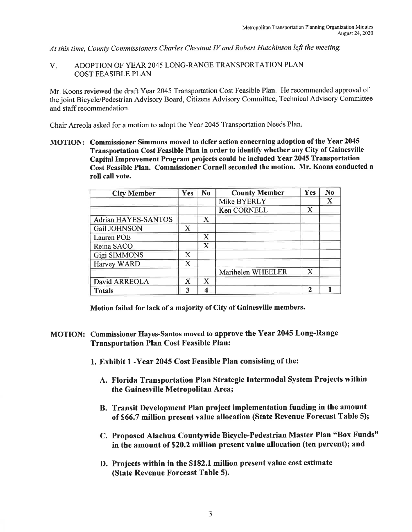*At this time, County Commissioners Charles Chestnut IV and Robert Hutchinson left the meeting.* 

V. ADOPTION OF YEAR 2045 LONG-RANGE TRANSPORTATION PLAN COST FEASIBLE PLAN

Mr. Koons reviewed the draft Year 2045 Transportation Cost Feasible Plan. He recommended approval of the joint Bicycle/Pedestrian Advisory Board, Citizens Advisory Committee, Technical Advisory Committee and staff recommendation.

Chair Arreola asked for a motion to adopt the Year 2045 Transportation Needs Plan.

MOTION: Commissioner Simmons moved to defer action concerning adoption of the Year 2045 Transportation Cost Feasible Plan in order to identify whether any City of Gainesville Capital Improvement Program projects could be included Year 2045 Transportation Cost Feasible Plan. Commissioner Cornell seconded the motion. Mr. Koons conducted a roll call vote.

| <b>City Member</b>         | <b>Yes</b>            | N <sub>o</sub>   | <b>County Member</b> | Yes         | N <sub>0</sub> |
|----------------------------|-----------------------|------------------|----------------------|-------------|----------------|
|                            |                       |                  | Mike BYERLY          |             | X              |
|                            |                       |                  | Ken CORNELL          | X           |                |
| <b>Adrian HAYES-SANTOS</b> |                       | X                |                      |             |                |
| Gail JOHNSON               | X                     |                  |                      |             |                |
| <b>Lauren POE</b>          |                       | X                |                      |             |                |
| Reina SACO                 |                       | $\mathbf X$      |                      |             |                |
| <b>Gigi SIMMONS</b>        | X                     |                  |                      |             |                |
| Harvey WARD                | $\overline{\text{X}}$ |                  |                      |             |                |
|                            |                       |                  | Marihelen WHEELER    | $\mathbf X$ |                |
| David ARREOLA              | X                     | X                |                      |             |                |
| <b>Totals</b>              | 3                     | $\boldsymbol{4}$ |                      | $\mathbf 2$ |                |

Motion failed for lack of a majority of City of Gainesville members.

- MOTION: Commissioner Hayes-Santos moved to approve the Year 2045 Long-Range Transportation Plan Cost Feasible Plan:
	- 1. Exhibit 1 -Year 2045 Cost Feasible Plan consisting of the:
		- A. Florida Transportation Plan Strategic Intermodal System Projects within the Gainesville Metropolitan Area;
		- B. Transit Development Plan project implementation funding in the amount of \$66. 7 million present value allocation (State Revenue Forecast Table 5);
		- C. Proposed Alachua Countywide Bicycle-Pedestrian Master Plan "Box Funds" in the amount of \$20.2 million present value allocation (ten percent); and
		- D. Projects within in the \$182.1 million present value cost estimate (State Revenue Forecast Table 5).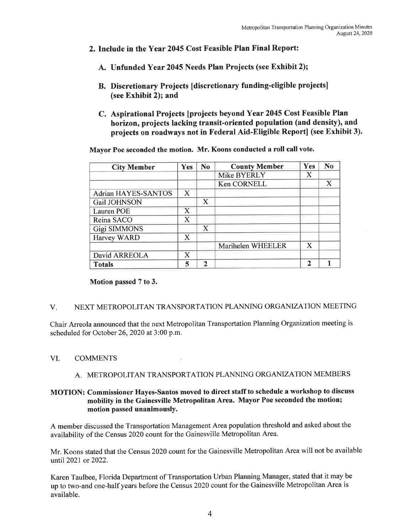- 2. Include in the Year 2045 Cost Feasible Plan Final Report:
	- A. Unfunded Year 2045 Needs Plan Projects (see Exhibit 2);
	- B. Discretionary Projects [discretionary funding-eligible projects] (see Exhibit 2); and
	- C. Aspirational Projects [projects beyond Year 2045 Cost Feasible Plan horizon, projects lacking transit-oriented population (and density), and projects on roadways not in Federal Aid-Eligible Report] (see Exhibit 3).

Mayor Poe seconded the motion. Mr. Koons conducted a roll call vote.

| <b>City Member</b>         | <b>Yes</b>            | N <sub>o</sub> | <b>County Member</b> | Yes         | N <sub>o</sub> |
|----------------------------|-----------------------|----------------|----------------------|-------------|----------------|
|                            |                       |                | Mike BYERLY          | X           |                |
|                            |                       |                | Ken CORNELL          |             | X              |
| <b>Adrian HAYES-SANTOS</b> | X                     |                |                      |             |                |
| Gail JOHNSON               |                       | X              |                      |             |                |
| <b>Lauren POE</b>          | X                     |                |                      |             |                |
| Reina SACO                 | X                     |                |                      |             |                |
| <b>Gigi SIMMONS</b>        |                       | X              |                      |             |                |
| Harvey WARD                | X                     |                |                      |             |                |
|                            |                       |                | Marihelen WHEELER    | X           |                |
| David ARREOLA              | $\overline{\text{X}}$ |                |                      |             |                |
| <b>Totals</b>              | 5                     | $\mathcal{P}$  |                      | $\mathbf 2$ |                |

Motion passed 7 to 3.

#### V. NEXT METROPOLITAN TRANSPORTATION PLANNING ORGANIZATION MEETING

Chair Arreola announced that the next Metropolitan Transportation Planning Organization meeting is scheduled for October 26, 2020 at 3:00 p.m.

#### VI. COMMENTS

#### A. METROPOLITAN TRANSPORTATION PLANNING ORGANIZATION MEMBERS

#### MOTION: Commissioner Hayes-Santos moved to direct staff to schedule a workshop to discuss mobility in the Gainesville Metropolitan Area. Mayor Poe seconded the motion; motion passed unanimously.

A member discussed the Transportation Management Area population threshold and asked about the availability of the Census 2020 count for the Gainesville Metropolitan Area.

Mr. Koons stated that the Census 2020 count for the Gainesville Metropolitan Area will not be available until 2021 or 2022.

Karen Taulbee, Florida Department of Transportation Urban Planning Manager, stated that it may be up to two-and one-half years before the Census 2020 count for the Gainesville Metropolitan Area is available.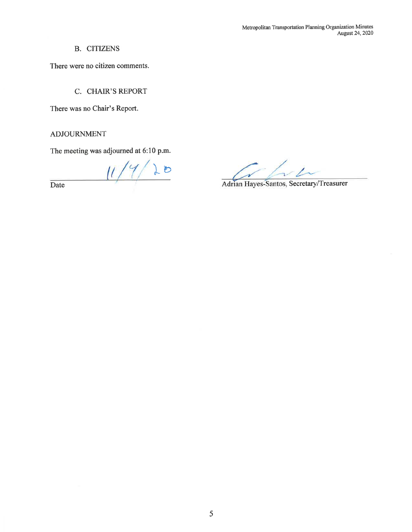B. CITIZENS

There were no citizen comments.

C. CHAIR'S REPORT

There was no Chair's Report.

### ADJOURNMENT

The meeting was adjourned at 6:10 p.m.

 $20$  $\frac{1}{2}$ Date

Adrian Hayes-Santos, Secretary/Treasurer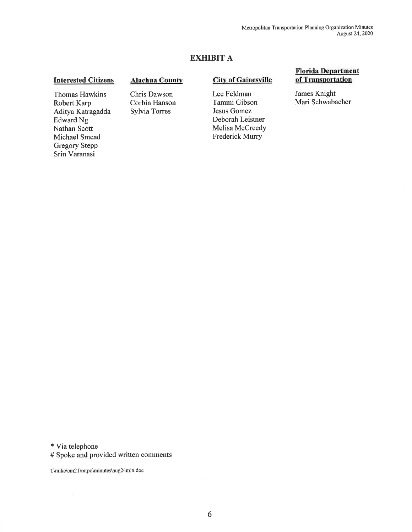## **EXHIBIT A**

#### **Interested Citizens**

#### **Alachua County**

**City of Gainesville** 

Lee Feldman Tammi Gibson Jesus Gomez Deborah Leistner Melisa Mccreedy Frederick Murry

#### **Florida Department of Transportation**

James Knight Mari Schwabacher

Thomas Hawkins Robert Karp Aditya Katragadda Edward Ng Nathan Scott Michael Smead Gregory Stepp Srin Varanasi

Chris Dawson Corbin Hanson Sylvia Torres

\* Via telephone

# Spoke and provided written comments

t:\mike\em21 \mtpo\minutes\aug24min.doc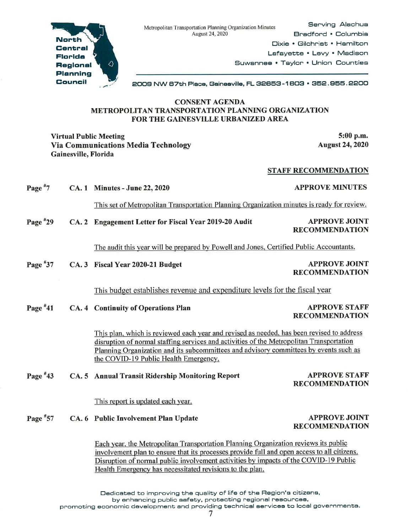

North **Central Florlda Region al Planning Council** 

2009 NW B7th Place, Geineeville, FL S2SE5S-1 BOS • SE52. SE5E5. 2200

#### CONSENT AGENDA METROPOLITAN TRANSPORTATION PLANNING ORGANIZATION FOR THE GAINESVILLE URBANIZED AREA

Virtual Public Meeting 5:00 p.m. Via Communications Media Technology Gainesville, Florida

August 24, 2020

#### STAFF RECOMMENDATION

Page<sup>#7</sup> CA. 1 Minutes - June 22, 2020 APPROVE MINUTES

This set of Metropolitan Transportation Planning Organization minutes is ready for review.

Page #29 CA. 2 Engagement Letter for Fiscal Year 2019-20 Audit APPROVE JOINT

# RECOMMENDATION

The audit this year will be prepared by Powell and Jones, Certified Public Accountants.

Page #37 CA. 3 Fiscal Year 2020-21 Budget APPROVE JOINT

RECOMMENDATION

This budget establishes revenue and expenditure levels for the fiscal year

Page #41 CA. 4 Continuity of Operations Plan APPROVE STAFF

RECOMMENDATION

Thjs plan, which is reviewed each year and revised as needed, bas been revised to address disruption of normal staffing services and activities of the Metropolitan Transportation Planning Organization and its subcommittees and advisory committees by events such as the COVID-19 Public Health Emergency.

#### Page #43 CA. 5 Annual Transit Ridership Monitoring Report

This report is updated each year.

Page #57 CA. 6 Public Involvement Plan Update

> Each year, the Metropolitan Transportation Planning Organization reviews its public involvement plan to ensure that its processes provide full and open access to all citizens. Disruption of normal public involvement activities by impacts of the COVID-19 Public Health Emergency has necessitated revisions to the plan.

APPROVE JOINT RECOMMENDATION

APPROVE STAFF RECOMMENDATION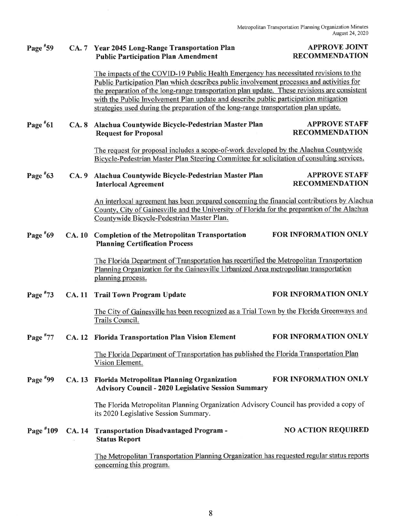#### Page #59 CA. 7 Year 2045 Long-Range Transportation Plan Public Participation Plan Amendment

#### APPROVE JOINT RECOMMENDATION

The impacts of the COVID-19 Public Health Emergency has necessitated revisions to the Public Participation Plan which describes public involvement processes and activities for the preparation of the long-range transportation plan update. These revisions are consistent with the Public Involvement Plan update and describe public participation mitigation strategies used during the preparation of the long-range transportation plan update.

#### Page #61 CA. 8 Alachua Countywide Bicycle-Pedestrian Master Plan Request for Proposal APPROVE STAFF RECOMMENDATION

The request for proposal includes a scope-of-work developed by the Alachua Countywide Bicycle-Pedestrian Master Plan Steering Committee for solicitation of consulting services.

#### Page #63 CA. 9 Alachua Countywide Bicycle-Pedestrian Master Plan Interlocal Agreement APPROVE STAFF RECOMMENDATION

An interlocal agreement has been prepared concerning the financial contributions by Alachua County, City of Gainesville and the University of Florida for the preparation of the Alachua Countywide Bicycle-Pedestrian Master Plan.

#### Page #69 CA. 10 Completion of the Metropolitan Transportation FOR INFORMATION ONLY Planning Certification Process

The Florida Department of Transportation has recertified the Metropolitan Transportation Planning Organization for the Gainesville Urbanized Area metropolitan transportation planning process.

Page #73 CA. 11 Trail Town Program Update FOR INFORMATION ONLY

> The City of Gainesville has been recognized as a Trial Town by the Florida Greenways and Trails Council.

# Page #77 CA. 12 Florida Transportation Plan Vision Element FOR INFORMATION ONLY The Florida Department of Transportation has published the Florida Transportation Plan Vision Element.

Page #99 CA. 13 Florida Metropolitan Planning Organization FOR INFORMATION ONLY Advisory Council - 2020 Legislative Session Summary

> The Florida Metropolitan Planning Organization Advisory Council has provided a copy of its 2020 Legislative Session Summary.

Page #109 CA. 14 Transportation Disadvantaged Program - Status Report NO ACTION REQUIRED

> The Metropolitan Transportation Planning Organization has requested regular status reports concerning this program.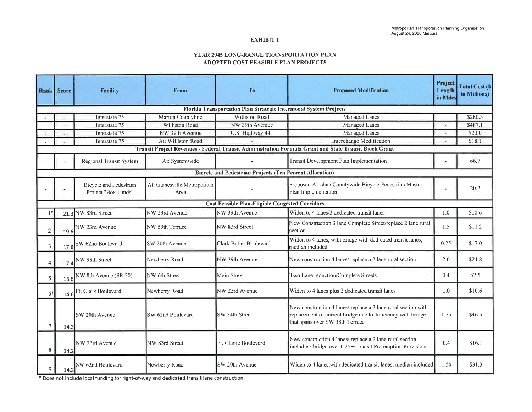#### EXHIBIT 1

#### YEAR 2045 LONG-RANGE TRANSPORTATION PLAN ADOPTED COST FEASIBLE PLAN PROJECTS

|                | <b>Rank Score</b>                                                | <b>Facility</b>                                      | <b>From</b>                          | <b>To</b>                                                       | <b>Proposed Modification</b>                                                                                                                                    | Project<br>Length<br>in Miles | <b>Total Cost (S)</b><br>in Millions) |  |  |  |
|----------------|------------------------------------------------------------------|------------------------------------------------------|--------------------------------------|-----------------------------------------------------------------|-----------------------------------------------------------------------------------------------------------------------------------------------------------------|-------------------------------|---------------------------------------|--|--|--|
|                | Florida Transportation Plan Strategic Intermodal System Projects |                                                      |                                      |                                                                 |                                                                                                                                                                 |                               |                                       |  |  |  |
|                |                                                                  | Interstate 75                                        | Marion Countyline                    | <b>Williston Road</b>                                           | Managed Lanes                                                                                                                                                   |                               | \$280.3                               |  |  |  |
|                |                                                                  | Interstate 75                                        | Williston Road                       | NW 39th Avemue                                                  | Managed Lanes                                                                                                                                                   | Ξ                             | \$487.1                               |  |  |  |
|                |                                                                  | Interstate 75                                        | NW 39th Avemue                       | U.S. Highway 441                                                | Managed Lanes                                                                                                                                                   | ٠                             | \$20.0                                |  |  |  |
|                |                                                                  | Interstate 75                                        | At: Williston Road                   |                                                                 | Interchange Modification                                                                                                                                        | ₩                             | \$18.1                                |  |  |  |
|                |                                                                  |                                                      |                                      |                                                                 | Transit Project Revenues - Federal Transit Administration Formula Grant and State Transit Block Grant                                                           |                               |                                       |  |  |  |
|                |                                                                  | Regional Transit System                              | At: Systemwide                       |                                                                 | Transit Development Plan Implementation                                                                                                                         |                               | 66.7                                  |  |  |  |
|                |                                                                  |                                                      |                                      | <b>Bicycle and Pedestrian Projects (Ten Percent Allocation)</b> |                                                                                                                                                                 |                               |                                       |  |  |  |
|                |                                                                  | <b>Bicycle and Pedestrian</b><br>Project "Box Funds" | At: Gainesville Metropolitan<br>Area |                                                                 | Proposed Alachua Countywide Bicycle-Pedestrian Master<br>Plan Implementation                                                                                    |                               | 20.2                                  |  |  |  |
|                |                                                                  |                                                      |                                      | <b>Cost Feasible Plan-Eligible Congested Corridors</b>          |                                                                                                                                                                 |                               |                                       |  |  |  |
| $1*$           | 21.3                                                             | NW 83rd Street                                       | NW 23rd Avenue                       | NW 39th Avenue                                                  | Widen to 4 lanes/2 dedicated transit lanes                                                                                                                      | 1.0                           | \$10.6                                |  |  |  |
| $\sqrt{2}$     | 19.6                                                             | NW 23rd Avenue                                       | NW 59th Terrace                      | NW 83rd Street                                                  | New Construction 3 lane Complete Street/replace 2 lane rural<br>section                                                                                         | 1.5                           | \$11.2                                |  |  |  |
| $\overline{3}$ | 17.6                                                             | SW 62nd Boulevard                                    | SW 20th Avenue                       | Clark Butler Boulevard                                          | Widen to 4 lanes, with bridge with dedicated transit lanes;<br>median included                                                                                  | 0.25                          | \$17.0                                |  |  |  |
| $\overline{4}$ | 17.4                                                             | NW 98th Street                                       | Newberry Road                        | NW 39th Avenue                                                  | New construction 4 lanes/ replace a 2 lane rural section                                                                                                        | 2.0                           | \$24.8                                |  |  |  |
| 5              | 16.6                                                             | NW 8th Avenue (SR 20)                                | NW 6th Street                        | Main Street                                                     | Two Lane reduction/Complete Streets                                                                                                                             | 0.4                           | \$2.5                                 |  |  |  |
| $6*$           | 14.6                                                             | Ft. Clark Boulevard                                  | Newberry Road                        | NW 23rd Avenue                                                  | Widen to 4 lanes plus 2 dedicated transit lanes                                                                                                                 | 1.0                           | \$10.6                                |  |  |  |
| 7              | 14.3                                                             | <b>SW</b> 20th Avenue                                | SW 62nd Boulevard                    | SW 34th Street                                                  | New construction 4 lanes/ replace a 2 lane rural section with<br>replacement of current bridge due to deficiency with bridge<br>that spans over SW 38th Terrace | 1.75                          | \$46.5                                |  |  |  |
| 8              | 14.2                                                             | NW 23rd Avenue                                       | NW 83rd Street                       | Ft. Clarke Boulevard                                            | New construction 4 lanes/ replace a 2 lane rural section,<br>including bridge over $1-75 +$ Transit Pre-emption Provisions                                      | 0.4                           | \$16.1                                |  |  |  |
| 9              | 14.2                                                             | SW 62nd Boulevard                                    | Newberry Road                        | SW 20th Avenue                                                  | Widen to 4 lanes, with dedicated transit lanes; median included                                                                                                 | 1.50                          | \$31.3                                |  |  |  |

\* Does not include local funding for right-of-way and dedicated transit lane construction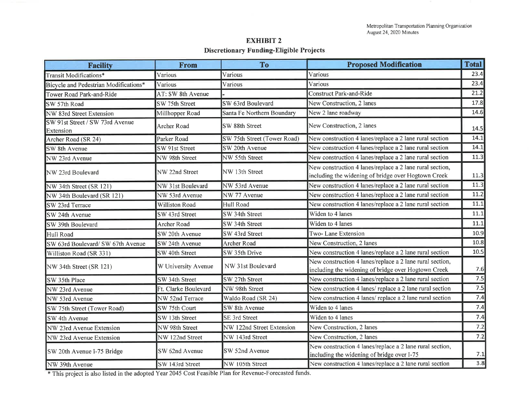#### **EXHIBIT2 Discretionary Funding-Eligible Projects**

| <b>Facility</b>                              | From                  | To                          | <b>Proposed Modification</b>                                                                                    | <b>Total</b> |
|----------------------------------------------|-----------------------|-----------------------------|-----------------------------------------------------------------------------------------------------------------|--------------|
| Transit Modifications*                       | Various               | Various                     | Various                                                                                                         | 23.4         |
| Bicycle and Pedestrian Modifications*        | Various               | Various                     | Various                                                                                                         | 23.4         |
| Tower Road Park-and-Ride                     | AT: SW 8th Avenue     |                             | <b>Construct Park-and-Ride</b>                                                                                  | 21.2         |
| SW 57th Road                                 | SW 75th Street        | SW 63rd Boulevard           | New Construction, 2 lanes                                                                                       | 17.8         |
| NW 83rd Street Extension                     | Millhopper Road       | Santa Fe Northern Boundary  | New 2 lane roadway                                                                                              | 14.6         |
| SW 91st Street / SW 73rd Avenue<br>Extension | Archer Road           | SW 88th Street              | New Construction, 2 lanes                                                                                       | 14.5         |
| Archer Road (SR 24)                          | Parker Road           | SW 75th Street (Tower Road) | New construction 4 lanes/replace a 2 lane rural section                                                         | 14.1         |
| SW 8th Avenue                                | SW 91st Street        | SW 20th Avenue              | New construction 4 lanes/replace a 2 lane rural section                                                         | 14.1         |
| NW 23rd Avenue                               | NW 98th Street        | NW 55th Street              | New construction 4 lanes/replace a 2 lane rural section                                                         | 11.3         |
| NW 23rd Boulevard                            | NW 22nd Street        | NW 13th Street              | New construction 4 lanes/replace a 2 lane rural section,<br>including the widening of bridge over Hogtown Creek | 11.3         |
| NW 34th Street (SR 121)                      | NW 31st Boulevard     | NW 53rd Avenue              | New construction 4 lanes/replace a 2 lane rural section                                                         | 11.3         |
| NW 34th Boulevard (SR 121)                   | NW 53rd Avenue        | NW 77 Avenue                | New construction 4 lanes/replace a 2 lane rural section                                                         | 11.2         |
| SW 23rd Terrace                              | <b>Williston Road</b> | Hull Road                   | New construction 4 lanes/replace a 2 lane rural section                                                         | 11.1         |
| SW 24th Avenue                               | SW 43rd Street        | SW 34th Street              | Widen to 4 lanes                                                                                                | 11.1         |
| SW 39th Boulevard                            | <b>Archer Road</b>    | SW 34th Street              | Widen to 4 lanes                                                                                                | 11.1         |
| Hull Road                                    | SW 20th Avenue        | SW 43rd Street              | Two-Lane Extension                                                                                              | 10.9         |
| SW 63rd Boulevard/ SW 67th Avenue            | SW 24th Avenue        | <b>Archer Road</b>          | New Construction, 2 lanes                                                                                       | 10.8         |
| Williston Road (SR 331)                      | SW 40th Street        | SW 35th Drive               | New construction 4 lanes/replace a 2 lane rural section                                                         | 10.5         |
| NW 34th Street (SR 121)                      | W University Avenue   | NW 31st Boulevard           | New construction 4 lanes/replace a 2 lane rural section,<br>including the widening of bridge over Hogtown Creek | 7.6          |
| SW 35th Place                                | SW 34th Street        | SW 27th Street              | New construction 4 lanes/replace a 2 lane rural section                                                         | 7.5          |
| NW 23rd Avenue                               | Ft. Clarke Boulevard  | NW 98th Street              | New construction 4 lanes/ replace a 2 lane rural section                                                        | 7.5          |
| NW 53rd Avenue                               | NW 52nd Terrace       | Waldo Road (SR 24)          | New construction 4 lanes/ replace a 2 lane rural section                                                        | 7.4          |
| SW 75th Street (Tower Road)                  | SW 75th Court         | SW 8th Avenue               | Widen to 4 lanes                                                                                                | 7.4          |
| SW 4th Avenue                                | SW 13th Street        | SE 3rd Street               | Widen to 4 lanes                                                                                                | 7.4          |
| NW 23rd Avenue Extension                     | NW 98th Street        | NW 122nd Street Extension   | New Construction, 2 lanes                                                                                       | 7.2          |
| NW 23rd Avenue Extension                     | NW 122nd Street       | NW 143rd Street             | New Construction, 2 lanes                                                                                       | 7.2          |
| SW 20th Avenue I-75 Bridge                   | SW 62nd Avenue        | SW 52nd Avenue              | New construction 4 lanes/replace a 2 lane rural section,<br>including the widening of bridge over I-75          | 7.1          |
| NW 39th Avenue                               | SW 143rd Street       | NW 105th Street             | New construction 4 lanes/replace a 2 lane rural section                                                         | 3.8          |

\*This project is also listed in the adopted Year 2045 Cost Feasible Plan for Revenue-Forecasted funds.